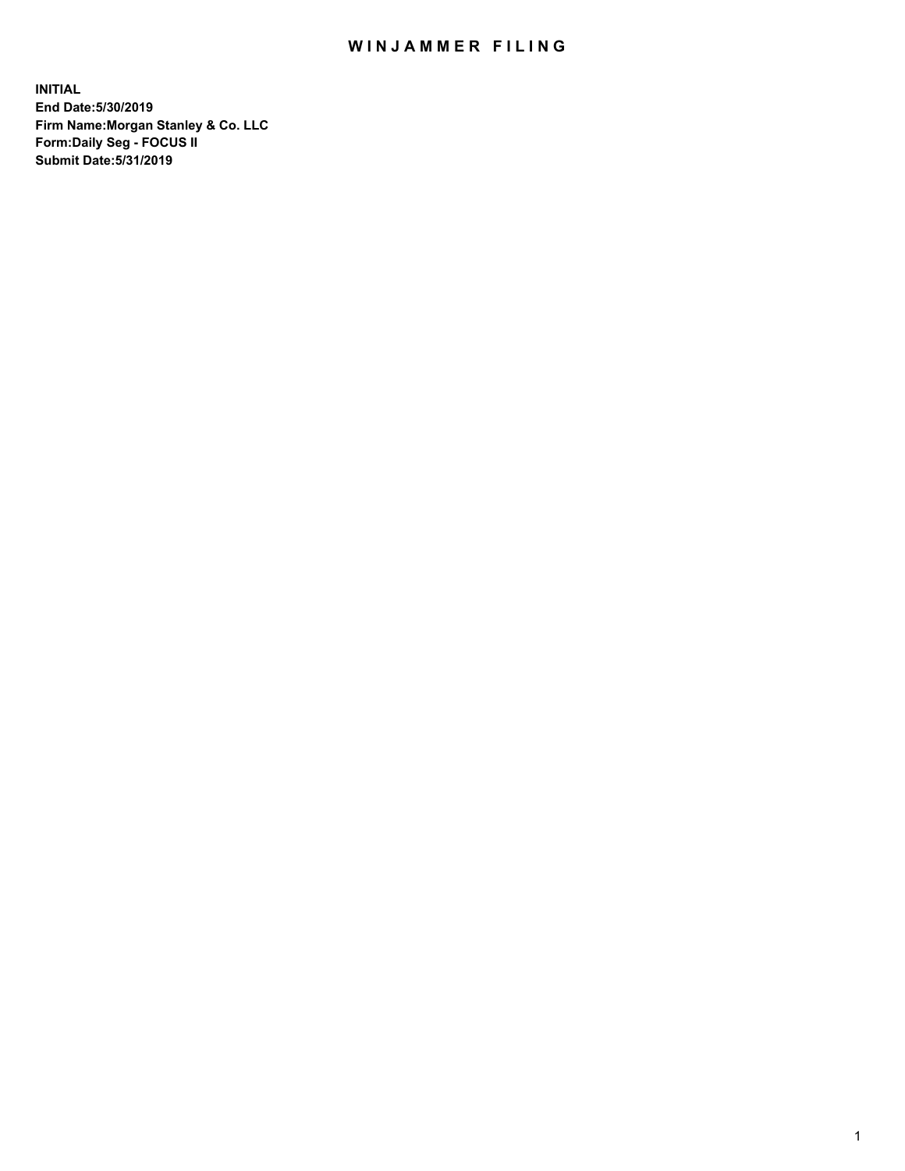## WIN JAMMER FILING

**INITIAL End Date:5/30/2019 Firm Name:Morgan Stanley & Co. LLC Form:Daily Seg - FOCUS II Submit Date:5/31/2019**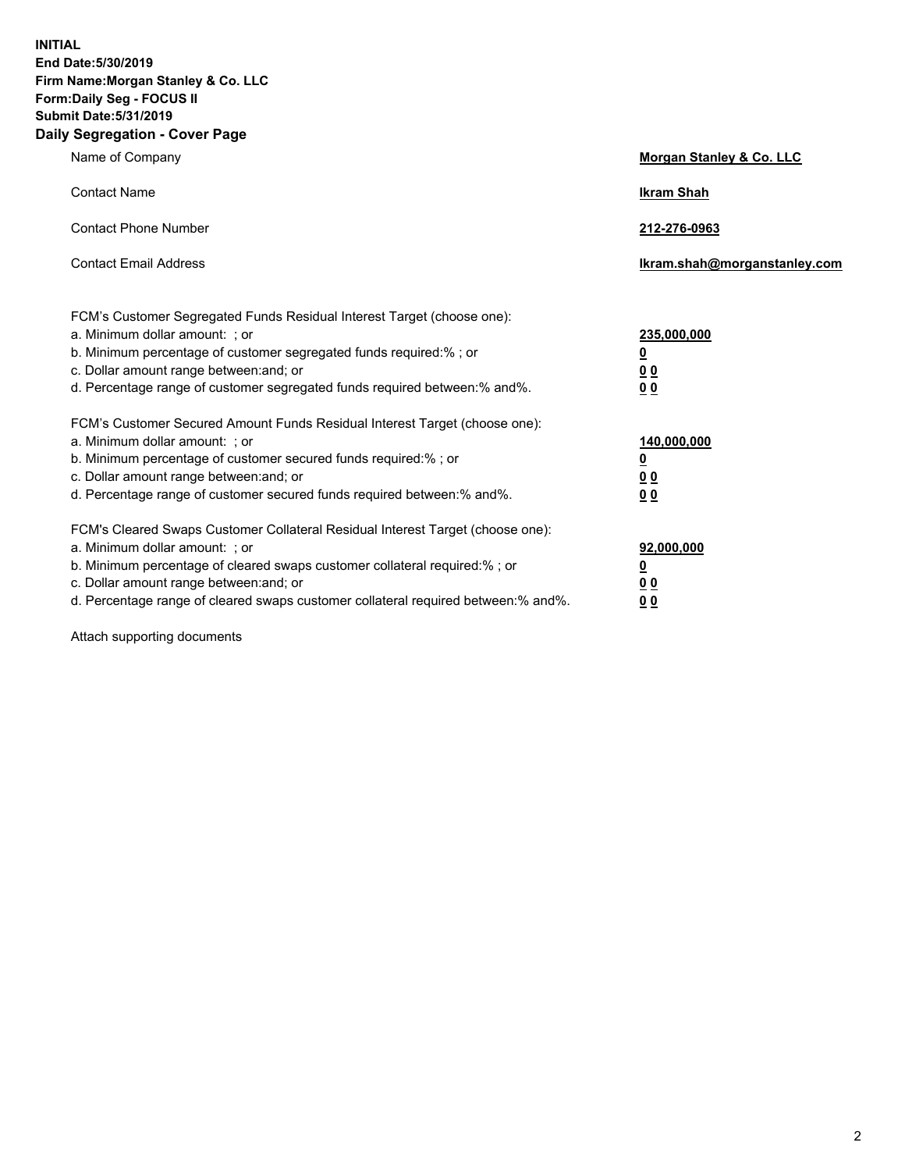**INITIAL End Date:5/30/2019 Firm Name:Morgan Stanley & Co. LLC Form:Daily Seg - FOCUS II Submit Date:5/31/2019 Daily Segregation - Cover Page**

| Name of Company                                                                                                                                                                                                                                                                                                               | Morgan Stanley & Co. LLC                                    |
|-------------------------------------------------------------------------------------------------------------------------------------------------------------------------------------------------------------------------------------------------------------------------------------------------------------------------------|-------------------------------------------------------------|
| <b>Contact Name</b>                                                                                                                                                                                                                                                                                                           | <b>Ikram Shah</b>                                           |
| <b>Contact Phone Number</b>                                                                                                                                                                                                                                                                                                   | 212-276-0963                                                |
| <b>Contact Email Address</b>                                                                                                                                                                                                                                                                                                  | Ikram.shah@morganstanley.com                                |
| FCM's Customer Segregated Funds Residual Interest Target (choose one):<br>a. Minimum dollar amount: ; or<br>b. Minimum percentage of customer segregated funds required:% ; or<br>c. Dollar amount range between: and; or<br>d. Percentage range of customer segregated funds required between:% and%.                        | 235,000,000<br><u>0</u><br><u>00</u><br>0 <sup>0</sup>      |
| FCM's Customer Secured Amount Funds Residual Interest Target (choose one):<br>a. Minimum dollar amount: ; or<br>b. Minimum percentage of customer secured funds required:%; or<br>c. Dollar amount range between: and; or<br>d. Percentage range of customer secured funds required between:% and%.                           | 140,000,000<br><u>0</u><br>0 <sub>0</sub><br>0 <sub>0</sub> |
| FCM's Cleared Swaps Customer Collateral Residual Interest Target (choose one):<br>a. Minimum dollar amount: ; or<br>b. Minimum percentage of cleared swaps customer collateral required:%; or<br>c. Dollar amount range between: and; or<br>d. Percentage range of cleared swaps customer collateral required between:% and%. | 92,000,000<br><u>0</u><br>0 Q<br>00                         |

Attach supporting documents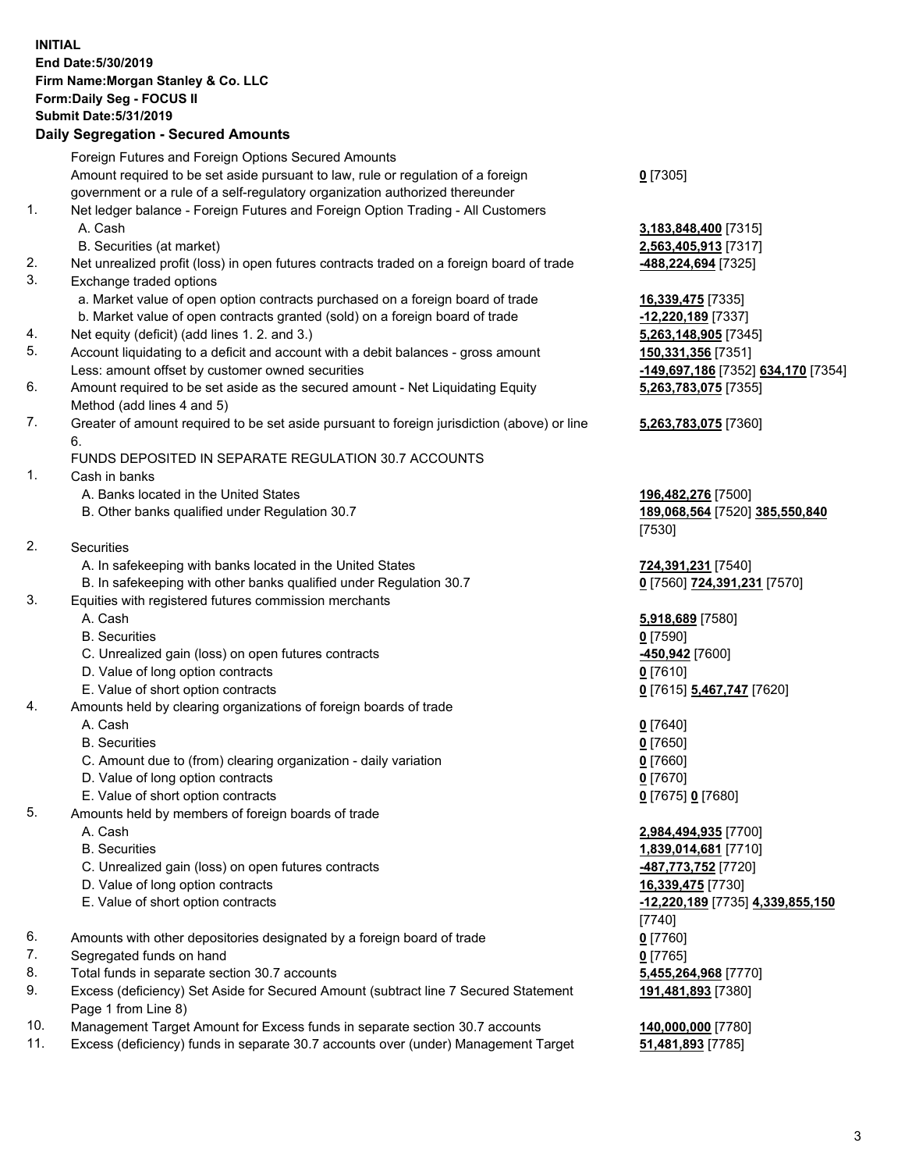## **INITIAL End Date:5/30/2019 Firm Name:Morgan Stanley & Co. LLC Form:Daily Seg - FOCUS II Submit Date:5/31/2019 Daily Segregation - Secured Amounts**

|    | Foreign Futures and Foreign Options Secured Amounts                                         |                               |
|----|---------------------------------------------------------------------------------------------|-------------------------------|
|    | Amount required to be set aside pursuant to law, rule or regulation of a foreign            | $0$ [7305]                    |
|    | government or a rule of a self-regulatory organization authorized thereunder                |                               |
| 1. | Net ledger balance - Foreign Futures and Foreign Option Trading - All Customers             |                               |
|    | A. Cash                                                                                     | 3,183,848,400 [7315           |
|    | B. Securities (at market)                                                                   | 2,563,405,913 [7317           |
| 2. | Net unrealized profit (loss) in open futures contracts traded on a foreign board of trade   | <u>-488,224,694</u> [7325]    |
| 3. | Exchange traded options                                                                     |                               |
|    | a. Market value of open option contracts purchased on a foreign board of trade              | 16,339,475 [7335]             |
|    | b. Market value of open contracts granted (sold) on a foreign board of trade                | -12,220,189 [7337]            |
| 4. | Net equity (deficit) (add lines 1.2. and 3.)                                                | 5,263,148,905 [7345]          |
| 5. | Account liquidating to a deficit and account with a debit balances - gross amount           | 150,331,356 [7351]            |
|    | Less: amount offset by customer owned securities                                            | -149,697,186 [7352]           |
| 6. | Amount required to be set aside as the secured amount - Net Liquidating Equity              | 5,263,783,075 [7355           |
|    | Method (add lines 4 and 5)                                                                  |                               |
| 7. | Greater of amount required to be set aside pursuant to foreign jurisdiction (above) or line | 5,263,783,075 [7360           |
|    | 6.                                                                                          |                               |
|    | FUNDS DEPOSITED IN SEPARATE REGULATION 30.7 ACCOUNTS                                        |                               |
| 1. | Cash in banks                                                                               |                               |
|    | A. Banks located in the United States                                                       | 196,482,276 [7500]            |
|    | B. Other banks qualified under Regulation 30.7                                              | 189,068,564 [7520]            |
|    |                                                                                             | [7530]                        |
| 2. | Securities                                                                                  |                               |
|    | A. In safekeeping with banks located in the United States                                   | 724,391,231 [7540]            |
|    | B. In safekeeping with other banks qualified under Regulation 30.7                          | 0 [7560] 724,391,23           |
| 3. | Equities with registered futures commission merchants                                       |                               |
|    | A. Cash                                                                                     | 5,918,689 [7580]              |
|    | <b>B.</b> Securities                                                                        | $0$ [7590]                    |
|    | C. Unrealized gain (loss) on open futures contracts                                         | -450,942 [7600]               |
|    | D. Value of long option contracts                                                           | $0$ [7610]                    |
|    | E. Value of short option contracts                                                          | 0 <sup>[7615]</sup> 5,467,747 |
| 4. | Amounts held by clearing organizations of foreign boards of trade                           |                               |
|    | A. Cash                                                                                     | $0$ [7640]                    |
|    | <b>B.</b> Securities                                                                        | $0$ [7650]                    |
|    | C. Amount due to (from) clearing organization - daily variation                             | $0$ [7660]                    |
|    | D. Value of long option contracts                                                           | $0$ [7670]                    |
|    | E. Value of short option contracts                                                          | 0 [7675] 0 [7680]             |
| 5. | Amounts held by members of foreign boards of trade                                          |                               |
|    | A. Cash                                                                                     | 2,984,494,935 [7700           |
|    | <b>B.</b> Securities                                                                        | 1,839,014,681 [7710           |
|    | C. Unrealized gain (loss) on open futures contracts                                         | [7720] <b>487,773,752</b>     |
|    | D. Value of long option contracts                                                           | 16,339,475 [7730]             |
|    | E. Value of short option contracts                                                          | -12,220,189 [7735]            |
|    |                                                                                             | [7740]                        |
| 6. | Amounts with other depositories designated by a foreign board of trade                      | $0$ [7760]                    |
| 7. | Segregated funds on hand                                                                    | $0$ [7765]                    |
| 8. | Total funds in separate section 30.7 accounts                                               | 5,455,264,968 [7770           |
| 9. | Excess (deficiency) Set Aside for Secured Amount (subtract line 7 Secured Statement         | 191,481,893 [7380]            |
|    | Page 1 from Line 8)                                                                         |                               |
|    |                                                                                             |                               |

- 10. Management Target Amount for Excess funds in separate section 30.7 accounts **140,000,000** [7780]
- 11. Excess (deficiency) funds in separate 30.7 accounts over (under) Management Target **51,481,893** [7785]

**8,400** [7315] **5,913** [7317]

8,905 [7345] Less: amount offset by customer owned securities **-149,697,186** [7352] **634,170** [7354] **5,263,783,075** [7355]

## **3,075** [7360]

B. Other banks qualified under Regulation 30.7 **189,068,564** [7520] **385,550,840**

B. In safekeeping with other banks qualified under Regulation 30.7 **0** [7560] **724,391,231** [7570]

E. Value of short option contracts **0** [7615] **5,467,747** [7620]

 A. Cash **2,984,494,935** [7700] B. Securities **1,839,014,681** [7710] E. Value of short option contracts **-12,220,189** [7735] **4,339,855,150** 8. 1. 968 [7770] **191,481,893** [7380]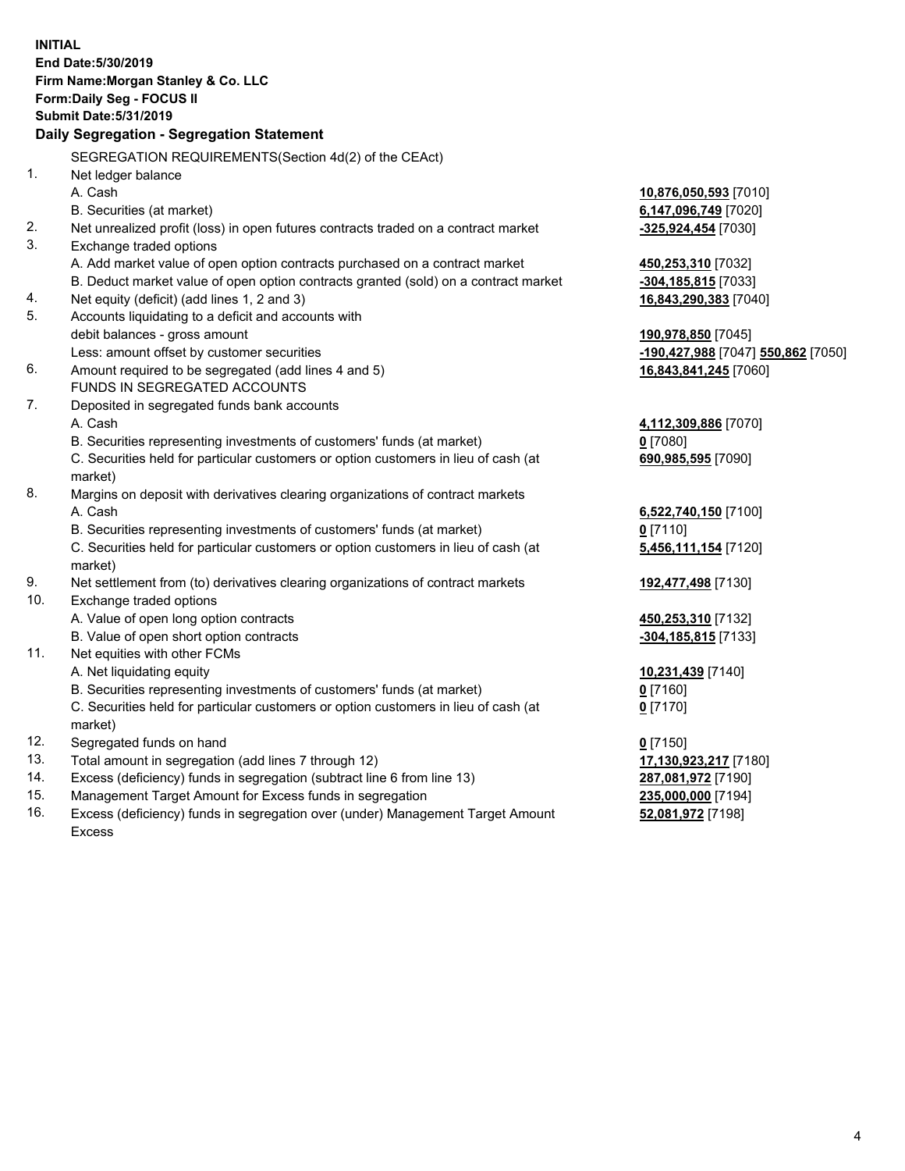|     | <b>INITIAL</b><br>End Date: 5/30/2019<br>Firm Name: Morgan Stanley & Co. LLC<br><b>Form:Daily Seg - FOCUS II</b><br><b>Submit Date: 5/31/2019</b><br>Daily Segregation - Segregation Statement |                                                      |
|-----|------------------------------------------------------------------------------------------------------------------------------------------------------------------------------------------------|------------------------------------------------------|
|     |                                                                                                                                                                                                |                                                      |
| 1.  | SEGREGATION REQUIREMENTS (Section 4d(2) of the CEAct)                                                                                                                                          |                                                      |
|     | Net ledger balance<br>A. Cash                                                                                                                                                                  |                                                      |
|     | B. Securities (at market)                                                                                                                                                                      | <u>10,876,050,593</u> [7010]<br>6,147,096,749 [7020] |
| 2.  | Net unrealized profit (loss) in open futures contracts traded on a contract market                                                                                                             | -325,924,454 [7030]                                  |
| 3.  | Exchange traded options                                                                                                                                                                        |                                                      |
|     | A. Add market value of open option contracts purchased on a contract market                                                                                                                    | 450,253,310 [7032]                                   |
|     | B. Deduct market value of open option contracts granted (sold) on a contract market                                                                                                            | <mark>-304,185,815</mark> [7033]                     |
| 4.  | Net equity (deficit) (add lines 1, 2 and 3)                                                                                                                                                    | 16,843,290,383 [7040]                                |
| 5.  | Accounts liquidating to a deficit and accounts with                                                                                                                                            |                                                      |
|     | debit balances - gross amount                                                                                                                                                                  | 190,978,850 [7045]                                   |
|     | Less: amount offset by customer securities                                                                                                                                                     | -190,427,988 [7047] 550,862 [7050]                   |
| 6.  | Amount required to be segregated (add lines 4 and 5)                                                                                                                                           | 16,843,841,245 [7060]                                |
|     | FUNDS IN SEGREGATED ACCOUNTS                                                                                                                                                                   |                                                      |
| 7.  | Deposited in segregated funds bank accounts                                                                                                                                                    |                                                      |
|     | A. Cash                                                                                                                                                                                        | 4,112,309,886 [7070]                                 |
|     | B. Securities representing investments of customers' funds (at market)                                                                                                                         | $0$ [7080]                                           |
|     | C. Securities held for particular customers or option customers in lieu of cash (at<br>market)                                                                                                 | 690,985,595 [7090]                                   |
| 8.  | Margins on deposit with derivatives clearing organizations of contract markets                                                                                                                 |                                                      |
|     | A. Cash                                                                                                                                                                                        | 6,522,740,150 [7100]                                 |
|     | B. Securities representing investments of customers' funds (at market)                                                                                                                         | $0$ [7110]                                           |
|     | C. Securities held for particular customers or option customers in lieu of cash (at<br>market)                                                                                                 | 5,456,111,154 [7120]                                 |
| 9.  | Net settlement from (to) derivatives clearing organizations of contract markets                                                                                                                | 192,477,498 [7130]                                   |
| 10. | Exchange traded options                                                                                                                                                                        |                                                      |
|     | A. Value of open long option contracts                                                                                                                                                         | 450,253,310 [7132]                                   |
|     | B. Value of open short option contracts                                                                                                                                                        | -304,185,815 [7133]                                  |
| 11. | Net equities with other FCMs                                                                                                                                                                   |                                                      |
|     | A. Net liquidating equity                                                                                                                                                                      | 10,231,439 [7140]                                    |
|     | B. Securities representing investments of customers' funds (at market)                                                                                                                         | $0$ [7160]                                           |
|     | C. Securities held for particular customers or option customers in lieu of cash (at                                                                                                            | $0$ [7170]                                           |
|     | market)                                                                                                                                                                                        |                                                      |
| 12. | Segregated funds on hand                                                                                                                                                                       | $0$ [7150]                                           |
| 13. | Total amount in segregation (add lines 7 through 12)                                                                                                                                           | 17,130,923,217 [7180]                                |
| 14. | Excess (deficiency) funds in segregation (subtract line 6 from line 13)                                                                                                                        | 287,081,972 [7190]                                   |
| 15. | Management Target Amount for Excess funds in segregation                                                                                                                                       | 235,000,000 [7194]                                   |

16. Excess (deficiency) funds in segregation over (under) Management Target Amount Excess

**52,081,972** [7198]